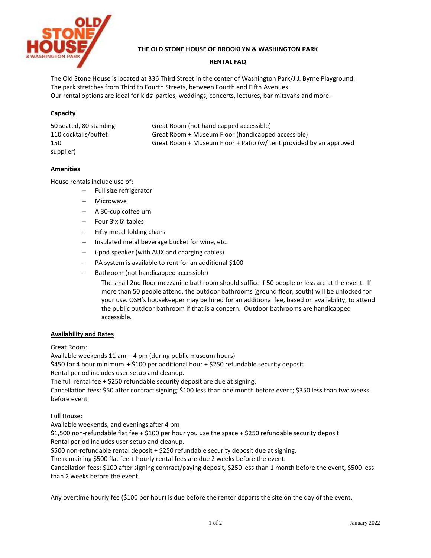

# **THE OLD STONE HOUSE OF BROOKLYN & WASHINGTON PARK**

# **RENTAL FAQ**

The Old Stone House is located at 336 Third Street in the center of Washington Park/J.J. Byrne Playground. The park stretches from Third to Fourth Streets, between Fourth and Fifth Avenues. Our rental options are ideal for kids' parties, weddings, concerts, lectures, bar mitzvahs and more.

# **Capacity**

| 50 seated, 80 standing | Great Room (not handicapped accessible)                            |
|------------------------|--------------------------------------------------------------------|
| 110 cocktails/buffet   | Great Room + Museum Floor (handicapped accessible)                 |
| 150                    | Great Room + Museum Floor + Patio (w/ tent provided by an approved |
| supplier)              |                                                                    |

# **Amenities**

House rentals include use of:

- Full size refrigerator
- Microwave
- A 30-cup coffee urn
- $-$  Four 3'x 6' tables
- Fifty metal folding chairs
- Insulated metal beverage bucket for wine, etc.
- i-pod speaker (with AUX and charging cables)
- PA system is available to rent for an additional \$100
- Bathroom (not handicapped accessible)

The small 2nd floor mezzanine bathroom should suffice if 50 people or less are at the event. If more than 50 people attend, the outdoor bathrooms (ground floor, south) will be unlocked for your use. OSH's housekeeper may be hired for an additional fee, based on availability, to attend the public outdoor bathroom if that is a concern. Outdoor bathrooms are handicapped accessible.

#### **Availability and Rates**

Great Room:

Available weekends 11 am – 4 pm (during public museum hours)

\$450 for 4 hour minimum + \$100 per additional hour + \$250 refundable security deposit

Rental period includes user setup and cleanup.

The full rental fee + \$250 refundable security deposit are due at signing.

Cancellation fees: \$50 after contract signing; \$100 less than one month before event; \$350 less than two weeks before event

Full House:

Available weekends, and evenings after 4 pm

\$1,500 non-refundable flat fee + \$100 per hour you use the space + \$250 refundable security deposit Rental period includes user setup and cleanup.

\$500 non-refundable rental deposit + \$250 refundable security deposit due at signing.

The remaining \$500 flat fee + hourly rental fees are due 2 weeks before the event.

Cancellation fees: \$100 after signing contract/paying deposit, \$250 less than 1 month before the event, \$500 less than 2 weeks before the event

Any overtime hourly fee (\$100 per hour) is due before the renter departs the site on the day of the event.